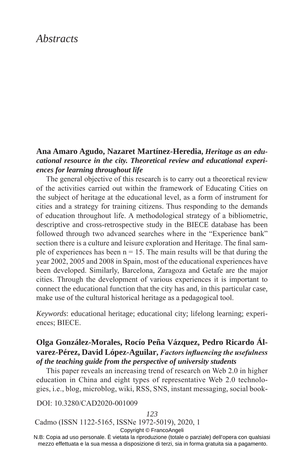# *Abstracts*

# **Ana Amaro Agudo, Nazaret Martínez-Heredia,** *Heritage as an educational resource in the city. Theoretical review and educational experiences for learning throughout life*

The general objective of this research is to carry out a theoretical review of the activities carried out within the framework of Educating Cities on the subject of heritage at the educational level, as a form of instrument for cities and a strategy for training citizens. Thus responding to the demands of education throughout life. A methodological strategy of a bibliometric, descriptive and cross-retrospective study in the BIECE database has been followed through two advanced searches where in the "Experience bank" section there is a culture and leisure exploration and Heritage. The final sample of experiences has been  $n = 15$ . The main results will be that during the year 2002, 2005 and 2008 in Spain, most of the educational experiences have been developed. Similarly, Barcelona, Zaragoza and Getafe are the major cities. Through the development of various experiences it is important to connect the educational function that the city has and, in this particular case, make use of the cultural historical heritage as a pedagogical tool.

*Keywords*: educational heritage; educational city; lifelong learning; experiences; BIECE.

# **Olga González-Morales, Rocío Peña Vázquez, Pedro Ricardo Álvarez-Pérez, David López-Aguilar,** *Factors influencing the usefulness of the teaching guide from the perspective of university students*

This paper reveals an increasing trend of research on Web 2.0 in higher education in China and eight types of representative Web 2.0 technologies, i.e., blog, microblog, wiki, RSS, SNS, instant messaging, social book-

DOI: 10.3280/CAD2020-001009

#### *123*

Cadmo (ISSN 1122-5165, ISSNe 1972-5019), 2020, 1

Copyright © FrancoAngeli

N.B: Copia ad uso personale. È vietata la riproduzione (totale o parziale) dell'opera con qualsiasi mezzo effettuata e la sua messa a disposizione di terzi, sia in forma gratuita sia a pagamento.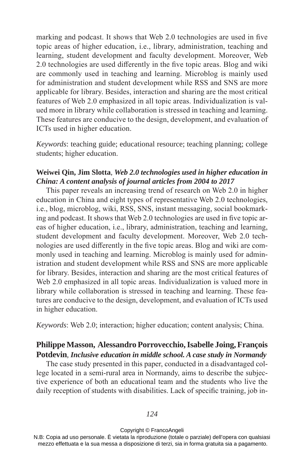marking and podcast. It shows that Web 2.0 technologies are used in five topic areas of higher education, i.e., library, administration, teaching and learning, student development and faculty development. Moreover, Web 2.0 technologies are used differently in the five topic areas. Blog and wiki are commonly used in teaching and learning. Microblog is mainly used for administration and student development while RSS and SNS are more applicable for library. Besides, interaction and sharing are the most critical features of Web 2.0 emphasized in all topic areas. Individualization is valued more in library while collaboration is stressed in teaching and learning. These features are conducive to the design, development, and evaluation of ICTs used in higher education.

*Keywords*: teaching guide; educational resource; teaching planning; college students; higher education.

### **Weiwei Qin, Jim Slotta**, *Web 2.0 technologies used in higher education in China: A content analysis of journal articles from 2004 to 2017*

This paper reveals an increasing trend of research on Web 2.0 in higher education in China and eight types of representative Web 2.0 technologies, i.e., blog, microblog, wiki, RSS, SNS, instant messaging, social bookmarking and podcast. It shows that Web 2.0 technologies are used in five topic areas of higher education, i.e., library, administration, teaching and learning, student development and faculty development. Moreover, Web 2.0 technologies are used differently in the five topic areas. Blog and wiki are commonly used in teaching and learning. Microblog is mainly used for administration and student development while RSS and SNS are more applicable for library. Besides, interaction and sharing are the most critical features of Web 2.0 emphasized in all topic areas. Individualization is valued more in library while collaboration is stressed in teaching and learning. These features are conducive to the design, development, and evaluation of ICTs used in higher education.

*Keywords*: Web 2.0; interaction; higher education; content analysis; China.

# **Philippe Masson, Alessandro Porrovecchio, Isabelle Joing, François Potdevin**, *Inclusive education in middle school. A case study in Normandy*

The case study presented in this paper, conducted in a disadvantaged college located in a semi-rural area in Normandy, aims to describe the subjective experience of both an educational team and the students who live the daily reception of students with disabilities. Lack of specific training, job in-

#### Copyright © FrancoAngeli

N.B: Copia ad uso personale. È vietata la riproduzione (totale o parziale) dell'opera con qualsiasi mezzo effettuata e la sua messa a disposizione di terzi, sia in forma gratuita sia a pagamento.